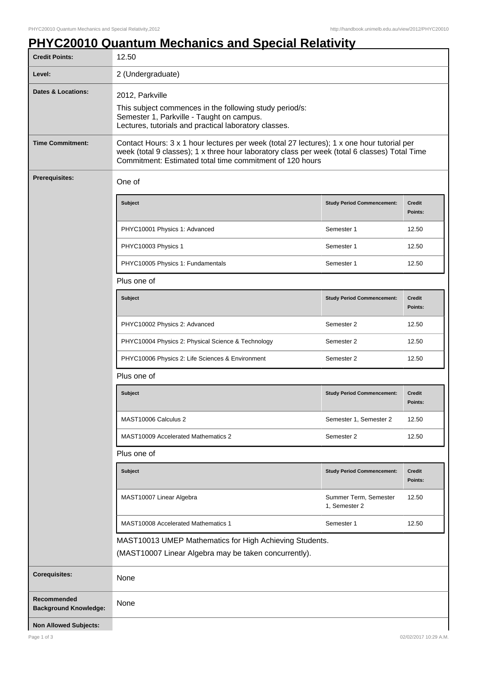## **PHYC20010 Quantum Mechanics and Special Relativity**

| <b>Credit Points:</b>                       | 12.50                                                                                                                                                                                                                                                   |                                        |                          |
|---------------------------------------------|---------------------------------------------------------------------------------------------------------------------------------------------------------------------------------------------------------------------------------------------------------|----------------------------------------|--------------------------|
| Level:                                      | 2 (Undergraduate)                                                                                                                                                                                                                                       |                                        |                          |
| <b>Dates &amp; Locations:</b>               | 2012, Parkville<br>This subject commences in the following study period/s:<br>Semester 1, Parkville - Taught on campus.<br>Lectures, tutorials and practical laboratory classes.                                                                        |                                        |                          |
| <b>Time Commitment:</b>                     | Contact Hours: 3 x 1 hour lectures per week (total 27 lectures); 1 x one hour tutorial per<br>week (total 9 classes); 1 x three hour laboratory class per week (total 6 classes) Total Time<br>Commitment: Estimated total time commitment of 120 hours |                                        |                          |
| <b>Prerequisites:</b>                       | One of                                                                                                                                                                                                                                                  |                                        |                          |
|                                             | Subject                                                                                                                                                                                                                                                 | <b>Study Period Commencement:</b>      | <b>Credit</b><br>Points: |
|                                             | PHYC10001 Physics 1: Advanced                                                                                                                                                                                                                           | Semester 1                             | 12.50                    |
|                                             | PHYC10003 Physics 1                                                                                                                                                                                                                                     | Semester 1                             | 12.50                    |
|                                             | PHYC10005 Physics 1: Fundamentals                                                                                                                                                                                                                       | Semester 1                             | 12.50                    |
|                                             | Plus one of                                                                                                                                                                                                                                             |                                        |                          |
|                                             | <b>Subject</b>                                                                                                                                                                                                                                          | <b>Study Period Commencement:</b>      | <b>Credit</b><br>Points: |
|                                             | PHYC10002 Physics 2: Advanced                                                                                                                                                                                                                           | Semester 2                             | 12.50                    |
|                                             | PHYC10004 Physics 2: Physical Science & Technology                                                                                                                                                                                                      | Semester 2                             | 12.50                    |
|                                             | PHYC10006 Physics 2: Life Sciences & Environment                                                                                                                                                                                                        | Semester 2                             | 12.50                    |
|                                             | Plus one of                                                                                                                                                                                                                                             |                                        |                          |
|                                             | <b>Subject</b>                                                                                                                                                                                                                                          | <b>Study Period Commencement:</b>      | <b>Credit</b><br>Points: |
|                                             | MAST10006 Calculus 2                                                                                                                                                                                                                                    | Semester 1, Semester 2                 | 12.50                    |
|                                             | <b>MAST10009 Accelerated Mathematics 2</b>                                                                                                                                                                                                              | Semester 2                             | 12.50                    |
|                                             | Plus one of                                                                                                                                                                                                                                             |                                        |                          |
|                                             | Subject                                                                                                                                                                                                                                                 | <b>Study Period Commencement:</b>      | <b>Credit</b><br>Points: |
|                                             | MAST10007 Linear Algebra                                                                                                                                                                                                                                | Summer Term, Semester<br>1, Semester 2 | 12.50                    |
|                                             | MAST10008 Accelerated Mathematics 1                                                                                                                                                                                                                     | Semester 1                             | 12.50                    |
|                                             | MAST10013 UMEP Mathematics for High Achieving Students.                                                                                                                                                                                                 |                                        |                          |
|                                             | (MAST10007 Linear Algebra may be taken concurrently).                                                                                                                                                                                                   |                                        |                          |
| <b>Corequisites:</b>                        | None                                                                                                                                                                                                                                                    |                                        |                          |
| Recommended<br><b>Background Knowledge:</b> | None                                                                                                                                                                                                                                                    |                                        |                          |
| <b>Non Allowed Subjects:</b>                |                                                                                                                                                                                                                                                         |                                        |                          |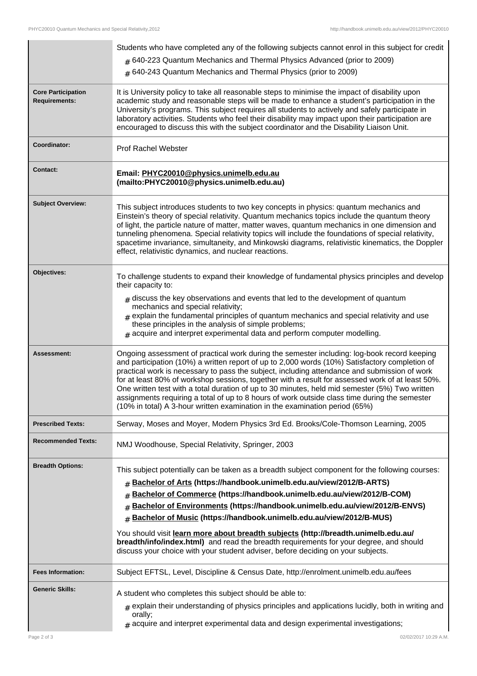|                                                   | Students who have completed any of the following subjects cannot enrol in this subject for credit<br>$#$ 640-223 Quantum Mechanics and Thermal Physics Advanced (prior to 2009)<br># 640-243 Quantum Mechanics and Thermal Physics (prior to 2009)                                                                                                                                                                                                                                                                                                                                                                                                                                          |
|---------------------------------------------------|---------------------------------------------------------------------------------------------------------------------------------------------------------------------------------------------------------------------------------------------------------------------------------------------------------------------------------------------------------------------------------------------------------------------------------------------------------------------------------------------------------------------------------------------------------------------------------------------------------------------------------------------------------------------------------------------|
| <b>Core Participation</b><br><b>Requirements:</b> | It is University policy to take all reasonable steps to minimise the impact of disability upon<br>academic study and reasonable steps will be made to enhance a student's participation in the<br>University's programs. This subject requires all students to actively and safely participate in<br>laboratory activities. Students who feel their disability may impact upon their participation are<br>encouraged to discuss this with the subject coordinator and the Disability Liaison Unit.                                                                                                                                                                                          |
| Coordinator:                                      | <b>Prof Rachel Webster</b>                                                                                                                                                                                                                                                                                                                                                                                                                                                                                                                                                                                                                                                                  |
| <b>Contact:</b>                                   | Email: PHYC20010@physics.unimelb.edu.au<br>(mailto:PHYC20010@physics.unimelb.edu.au)                                                                                                                                                                                                                                                                                                                                                                                                                                                                                                                                                                                                        |
| <b>Subject Overview:</b>                          | This subject introduces students to two key concepts in physics: quantum mechanics and<br>Einstein's theory of special relativity. Quantum mechanics topics include the quantum theory<br>of light, the particle nature of matter, matter waves, quantum mechanics in one dimension and<br>tunneling phenomena. Special relativity topics will include the foundations of special relativity,<br>spacetime invariance, simultaneity, and Minkowski diagrams, relativistic kinematics, the Doppler<br>effect, relativistic dynamics, and nuclear reactions.                                                                                                                                  |
| Objectives:                                       | To challenge students to expand their knowledge of fundamental physics principles and develop<br>their capacity to:<br>$_{\#}$ discuss the key observations and events that led to the development of quantum<br>mechanics and special relativity;<br>$*$ explain the fundamental principles of quantum mechanics and special relativity and use<br>these principles in the analysis of simple problems;<br>$*$ acquire and interpret experimental data and perform computer modelling.                                                                                                                                                                                                     |
| Assessment:                                       | Ongoing assessment of practical work during the semester including: log-book record keeping<br>and participation (10%) a written report of up to 2,000 words (10%) Satisfactory completion of<br>practical work is necessary to pass the subject, including attendance and submission of work<br>for at least 80% of workshop sessions, together with a result for assessed work of at least 50%.<br>One written test with a total duration of up to 30 minutes, held mid semester (5%) Two written<br>assignments requiring a total of up to 8 hours of work outside class time during the semester<br>(10% in total) A 3-hour written examination in the examination period (65%)         |
| <b>Prescribed Texts:</b>                          | Serway, Moses and Moyer, Modern Physics 3rd Ed. Brooks/Cole-Thomson Learning, 2005                                                                                                                                                                                                                                                                                                                                                                                                                                                                                                                                                                                                          |
| <b>Recommended Texts:</b>                         | NMJ Woodhouse, Special Relativity, Springer, 2003                                                                                                                                                                                                                                                                                                                                                                                                                                                                                                                                                                                                                                           |
| <b>Breadth Options:</b>                           | This subject potentially can be taken as a breadth subject component for the following courses:<br># Bachelor of Arts (https://handbook.unimelb.edu.au/view/2012/B-ARTS)<br>Bachelor of Commerce (https://handbook.unimelb.edu.au/view/2012/B-COM)<br>#<br>Bachelor of Environments (https://handbook.unimelb.edu.au/view/2012/B-ENVS)<br>#<br>Bachelor of Music (https://handbook.unimelb.edu.au/view/2012/B-MUS)<br>#<br>You should visit learn more about breadth subjects (http://breadth.unimelb.edu.au/<br>breadth/info/index.html) and read the breadth requirements for your degree, and should<br>discuss your choice with your student adviser, before deciding on your subjects. |
| <b>Fees Information:</b>                          | Subject EFTSL, Level, Discipline & Census Date, http://enrolment.unimelb.edu.au/fees                                                                                                                                                                                                                                                                                                                                                                                                                                                                                                                                                                                                        |
|                                                   |                                                                                                                                                                                                                                                                                                                                                                                                                                                                                                                                                                                                                                                                                             |
| <b>Generic Skills:</b>                            | A student who completes this subject should be able to:                                                                                                                                                                                                                                                                                                                                                                                                                                                                                                                                                                                                                                     |
|                                                   | $#$ explain their understanding of physics principles and applications lucidly, both in writing and<br>orally;<br>$#$ acquire and interpret experimental data and design experimental investigations;                                                                                                                                                                                                                                                                                                                                                                                                                                                                                       |